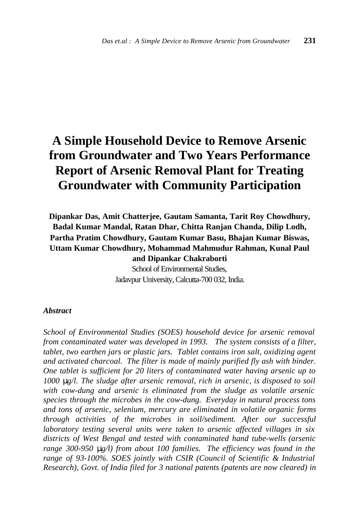# **A Simple Household Device to Remove Arsenic from Groundwater and Two Years Performance Report of Arsenic Removal Plant for Treating Groundwater with Community Participation**

**Dipankar Das, Amit Chatterjee, Gautam Samanta, Tarit Roy Chowdhury, Badal Kumar Mandal, Ratan Dhar, Chitta Ranjan Chanda, Dilip Lodh, Partha Pratim Chowdhury, Gautam Kumar Basu, Bhajan Kumar Biswas, Uttam Kumar Chowdhury, Mohammad Mahmudur Rahman, Kunal Paul and Dipankar Chakraborti**

School of Environmental Studies, Jadavpur University, Calcutta-700 032, India.

#### *Abstract*

*School of Environmental Studies (SOES) household device for arsenic removal from contaminated water was developed in 1993. The system consists of a filter, tablet, two earthen jars or plastic jars. Tablet contains iron salt, oxidizing agent and activated charcoal. The filter is made of mainly purified fly ash with binder. One tablet is sufficient for 20 liters of contaminated water having arsenic up to 1000 mg/l. The sludge after arsenic removal, rich in arsenic, is disposed to soil with cow-dung and arsenic is eliminated from the sludge as volatile arsenic species through the microbes in the cow-dung. Everyday in natural process tons and tons of arsenic, selenium, mercury are eliminated in volatile organic forms through activities of the microbes in soil/sediment. After our successful laboratory testing several units were taken to arsenic affected villages in six districts of West Bengal and tested with contaminated hand tube-wells (arsenic range 300-950 mg/l) from about 100 families. The efficiency was found in the range of 93-100%. SOES jointly with CSIR (Council of Scientific & Industrial Research), Govt. of India filed for 3 national patents (patents are now cleared) in*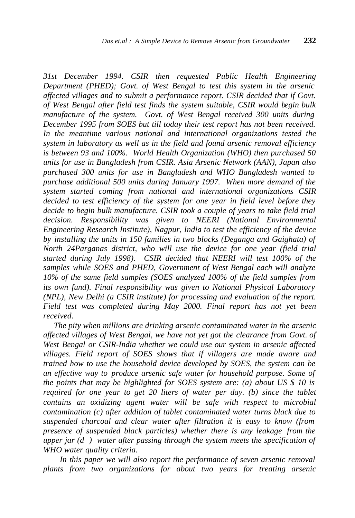*31st December 1994. CSIR then requested Public Health Engineering Department (PHED); Govt. of West Bengal to test this system in the arsenic affected villages and to submit a performance report. CSIR decided that if Govt. of West Bengal after field test finds the system suitable, CSIR would begin bulk manufacture of the system. Govt. of West Bengal received 300 units during December 1995 from SOES but till today their test report has not been received. In the meantime various national and international organizations tested the system in laboratory as well as in the field and found arsenic removal efficiency is between 93 and 100%. World Health Organization (WHO) then purchased 50 units for use in Bangladesh from CSIR. Asia Arsenic Network (AAN), Japan also purchased 300 units for use in Bangladesh and WHO Bangladesh wanted to purchase additional 500 units during January 1997. When more demand of the system started coming from national and international organizations CSIR decided to test efficiency of the system for one year in field level before they decide to begin bulk manufacture. CSIR took a couple of years to take field trial decision. Responsibility was given to NEERI (National Environmental Engineering Research Institute), Nagpur, India to test the efficiency of the device by installing the units in 150 families in two blocks (Deganga and Gaighata) of North 24Parganas district, who will use the device for one year (field trial started during July 1998). CSIR decided that NEERI will test 100% of the samples while SOES and PHED, Government of West Bengal each will analyze 10% of the same field samples (SOES analyzed 100% of the field samples from its own fund). Final responsibility was given to National Physical Laboratory (NPL), New Delhi (a CSIR institute) for processing and evaluation of the report. Field test was completed during May 2000. Final report has not yet been received.*

 *The pity when millions are drinking arsenic contaminated water in the arsenic affected villages of West Bengal, we have not yet got the clearance from Govt. of West Bengal or CSIR-India whether we could use our system in arsenic affected villages. Field report of SOES shows that if villagers are made aware and trained how to use the household device developed by SOES, the system can be an effective way to produce arsenic safe water for household purpose. Some of the points that may be highlighted for SOES system are: (a) about US \$ 10 is required for one year to get 20 liters of water per day. (b) since the tablet contains an oxidizing agent water will be safe with respect to microbial contamination (c) after addition of tablet contaminated water turns black due to suspended charcoal and clear water after filtration it is easy to know (from presence of suspended black particles) whether there is any leakage from the upper jar (d ) water after passing through the system meets the specification of WHO water quality criteria.*

 *In this paper we will also report the performance of seven arsenic removal plants from two organizations for about two years for treating arsenic*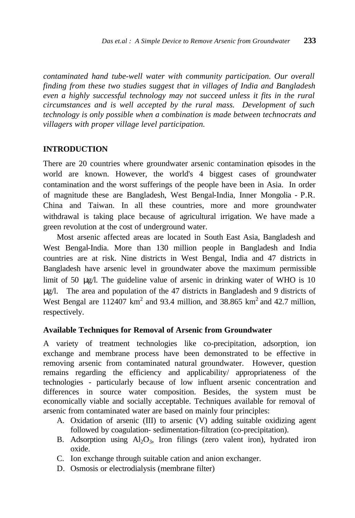*contaminated hand tube-well water with community participation. Our overall finding from these two studies suggest that in villages of India and Bangladesh even a highly successful technology may not succeed unless it fits in the rural circumstances and is well accepted by the rural mass. Development of such technology is only possible when a combination is made between technocrats and villagers with proper village level participation.*

#### **INTRODUCTION**

There are 20 countries where groundwater arsenic contamination episodes in the world are known. However, the world's 4 biggest cases of groundwater contamination and the worst sufferings of the people have been in Asia. In order of magnitude these are Bangladesh, West Bengal-India, Inner Mongolia - P.R. China and Taiwan. In all these countries, more and more groundwater withdrawal is taking place because of agricultural irrigation. We have made a green revolution at the cost of underground water.

Most arsenic affected areas are located in South East Asia, Bangladesh and West Bengal-India. More than 130 million people in Bangladesh and India countries are at risk. Nine districts in West Bengal, India and 47 districts in Bangladesh have arsenic level in groundwater above the maximum permissible limit of 50 μg/l. The guideline value of arsenic in drinking water of WHO is 10 μg/l. The area and population of the 47 districts in Bangladesh and 9 districts of West Bengal are  $112407 \text{ km}^2$  and 93.4 million, and 38.865 km<sup>2</sup> and 42.7 million, respectively.

#### **Available Techniques for Removal of Arsenic from Groundwater**

A variety of treatment technologies like co-precipitation, adsorption, ion exchange and membrane process have been demonstrated to be effective in removing arsenic from contaminated natural groundwater. However, question remains regarding the efficiency and applicability/ appropriateness of the technologies - particularly because of low influent arsenic concentration and differences in source water composition. Besides, the system must be economically viable and socially acceptable. Techniques available for removal of arsenic from contaminated water are based on mainly four principles:

- A. Oxidation of arsenic (III) to arsenic (V) adding suitable oxidizing agent followed by coagulation- sedimentation-filtration (co-precipitation).
- B. Adsorption using  $Al_2O_3$ , Iron filings (zero valent iron), hydrated iron oxide.
- C. Ion exchange through suitable cation and anion exchanger.
- D. Osmosis or electrodialysis (membrane filter)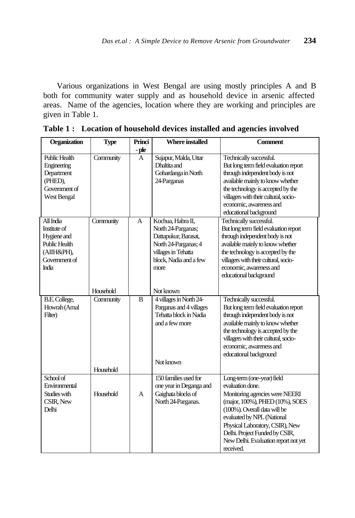Various organizations in West Bengal are using mostly principles A and B both for community water supply and as household device in arsenic affected areas. Name of the agencies, location where they are working and principles are given in Table 1.

| Organization                                                                                                   | <b>Type</b>            | Princi         | <b>Where installed</b>                                                                                                                           | <b>Comment</b>                                                                                                                                                                                                                                                                                              |
|----------------------------------------------------------------------------------------------------------------|------------------------|----------------|--------------------------------------------------------------------------------------------------------------------------------------------------|-------------------------------------------------------------------------------------------------------------------------------------------------------------------------------------------------------------------------------------------------------------------------------------------------------------|
|                                                                                                                |                        | - ple          |                                                                                                                                                  |                                                                                                                                                                                                                                                                                                             |
| <b>Public Health</b><br>Engineering<br>Department<br>(PHED),<br>Government of<br>West Bengal                   | Community              | $\overline{A}$ | Sujapur, Malda, Uttar<br>Dhaltita and<br>Gobardanga in North<br>24-Parganas                                                                      | Technically successful.<br>But long term field evaluation report<br>through independent body is not<br>available mainly to know whether<br>the technology is accepted by the<br>villagers with their cultural, socio-<br>economic, awareness and<br>educational background                                  |
| All India<br>Institute of<br>Hygiene and<br><b>Public Health</b><br>(АШН&РН),<br>Government of<br><b>India</b> | Community              | $\overline{A}$ | Kochua, Habra II,<br>North 24-Parganas;<br>Dattapukur, Barasat,<br>North 24-Parganas; 4<br>villages in Tehatta<br>block, Nadia and a few<br>more | Technically successful.<br>But long term field evaluation report<br>through independent body is not<br>available mainly to know whether<br>the technology is accepted by the<br>villagers with their cultural, socio-<br>economic, awareness and<br>educational background                                  |
|                                                                                                                | Household              |                | Not known                                                                                                                                        |                                                                                                                                                                                                                                                                                                             |
| <b>B.E. College,</b><br>Howrah (Amal<br>Filter)                                                                | Community<br>Household | $\overline{B}$ | 4 villages in North 24-<br>Parganas and 4 villages<br>Tehatta block in Nadia<br>and a few more<br>Not known                                      | Technically successful.<br>But long term field evaluation report<br>through independent body is not<br>available mainly to know whether<br>the technology is accepted by the<br>villagers with their cultural, socio-<br>economic, awareness and<br>educational background                                  |
| School of<br>Environmental<br>Studies with<br>CSIR, New<br>Delhi                                               | Household              | A              | 150 families used for<br>one year in Deganga and<br>Gaighata blocks of<br>North 24-Parganas.                                                     | Long-term (one-year) field<br>evaluation done.<br>Monitoring agencies were NEERI<br>(major, 100%), PHED (10%), SOES<br>(100%). Overall data will be<br>evaluated by NPL (National<br>Physical Laboratory, CSIR), New<br>Delhi. Project Funded by CSIR,<br>New Delhi. Evaluation report not yet<br>received. |

**Table 1 : Location of household devices installed and agencies involved**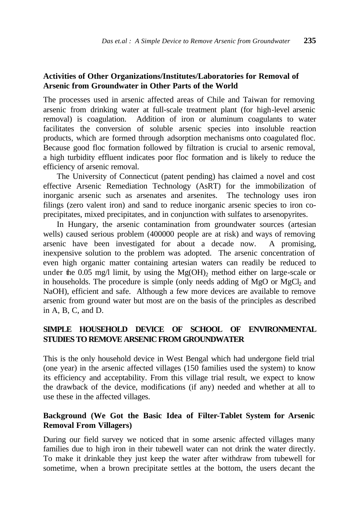# **Activities of Other Organizations/Institutes/Laboratories for Removal of Arsenic from Groundwater in Other Parts of the World**

The processes used in arsenic affected areas of Chile and Taiwan for removing arsenic from drinking water at full-scale treatment plant (for high-level arsenic removal) is coagulation. Addition of iron or aluminum coagulants to water facilitates the conversion of soluble arsenic species into insoluble reaction products, which are formed through adsorption mechanisms onto coagulated floc. Because good floc formation followed by filtration is crucial to arsenic removal, a high turbidity effluent indicates poor floc formation and is likely to reduce the efficiency of arsenic removal.

The University of Connecticut (patent pending) has claimed a novel and cost effective Arsenic Remediation Technology (AsRT) for the immobilization of inorganic arsenic such as arsenates and arsenites. The technology uses iron filings (zero valent iron) and sand to reduce inorganic arsenic species to iron coprecipitates, mixed precipitates, and in conjunction with sulfates to arsenopyrites.

In Hungary, the arsenic contamination from groundwater sources (artesian wells) caused serious problem (400000 people are at risk) and ways of removing arsenic have been investigated for about a decade now. A promising, inexpensive solution to the problem was adopted. The arsenic concentration of even high organic matter containing artesian waters can readily be reduced to under the 0.05 mg/l limit, by using the  $Mg(OH)$ <sub>2</sub> method either on large-scale or in households. The procedure is simple (only needs adding of  $MgO$  or  $MgCl<sub>2</sub>$  and NaOH), efficient and safe. Although a few more devices are available to remove arsenic from ground water but most are on the basis of the principles as described in A, B, C, and D.

# **SIMPLE HOUSEHOLD DEVICE OF SCHOOL OF ENVIRONMENTAL STUDIES TO REMOVE ARSENIC FROM GROUNDWATER**

This is the only household device in West Bengal which had undergone field trial (one year) in the arsenic affected villages (150 families used the system) to know its efficiency and acceptability. From this village trial result, we expect to know the drawback of the device, modifications (if any) needed and whether at all to use these in the affected villages.

# **Background (We Got the Basic Idea of Filter-Tablet System for Arsenic Removal From Villagers)**

During our field survey we noticed that in some arsenic affected villages many families due to high iron in their tubewell water can not drink the water directly. To make it drinkable they just keep the water after withdraw from tubewell for sometime, when a brown precipitate settles at the bottom, the users decant the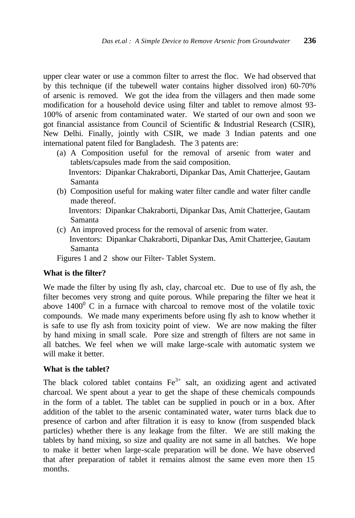upper clear water or use a common filter to arrest the floc. We had observed that by this technique (if the tubewell water contains higher dissolved iron) 60-70% of arsenic is removed. We got the idea from the villagers and then made some modification for a household device using filter and tablet to remove almost 93- 100% of arsenic from contaminated water. We started of our own and soon we got financial assistance from Council of Scientific & Industrial Research (CSIR), New Delhi. Finally, jointly with CSIR, we made 3 Indian patents and one international patent filed for Bangladesh. The 3 patents are:

- (a) A Composition useful for the removal of arsenic from water and tablets/capsules made from the said composition. Inventors: Dipankar Chakraborti, Dipankar Das, Amit Chatterjee, Gautam Samanta
- (b) Composition useful for making water filter candle and water filter candle made thereof. Inventors: Dipankar Chakraborti, Dipankar Das, Amit Chatterjee, Gautam
	- Samanta
- (c) An improved process for the removal of arsenic from water.
	- Inventors: Dipankar Chakraborti, Dipankar Das, Amit Chatterjee, Gautam Samanta

Figures 1 and 2 show our Filter- Tablet System.

# **What is the filter?**

We made the filter by using fly ash, clay, charcoal etc. Due to use of fly ash, the filter becomes very strong and quite porous. While preparing the filter we heat it above  $1400^{\circ}$  C in a furnace with charcoal to remove most of the volatile toxic compounds. We made many experiments before using fly ash to know whether it is safe to use fly ash from toxicity point of view. We are now making the filter by hand mixing in small scale. Pore size and strength of filters are not same in all batches. We feel when we will make large-scale with automatic system we will make it better.

# **What is the tablet?**

The black colored tablet contains  $Fe<sup>3+</sup>$  salt, an oxidizing agent and activated charcoal. We spent about a year to get the shape of these chemicals compounds in the form of a tablet. The tablet can be supplied in pouch or in a box. After addition of the tablet to the arsenic contaminated water, water turns black due to presence of carbon and after filtration it is easy to know (from suspended black particles) whether there is any leakage from the filter. We are still making the tablets by hand mixing, so size and quality are not same in all batches. We hope to make it better when large-scale preparation will be done. We have observed that after preparation of tablet it remains almost the same even more then 15 months.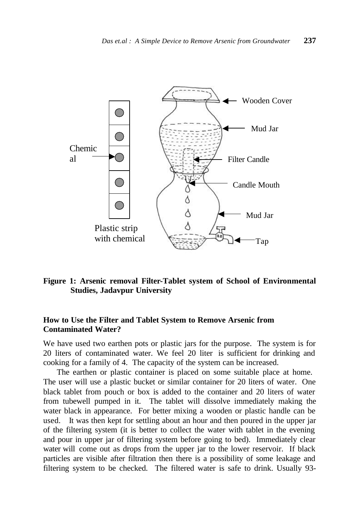

# **Figure 1: Arsenic removal Filter-Tablet system of School of Environmental Studies, Jadavpur University**

# **How to Use the Filter and Tablet System to Remove Arsenic from Contaminated Water?**

We have used two earthen pots or plastic jars for the purpose. The system is for 20 liters of contaminated water. We feel 20 liter is sufficient for drinking and cooking for a family of 4. The capacity of the system can be increased.

The earthen or plastic container is placed on some suitable place at home. The user will use a plastic bucket or similar container for 20 liters of water. One black tablet from pouch or box is added to the container and 20 liters of water from tubewell pumped in it. The tablet will dissolve immediately making the water black in appearance. For better mixing a wooden or plastic handle can be used. It was then kept for settling about an hour and then poured in the upper jar of the filtering system (it is better to collect the water with tablet in the evening and pour in upper jar of filtering system before going to bed). Immediately clear water will come out as drops from the upper jar to the lower reservoir. If black particles are visible after filtration then there is a possibility of some leakage and filtering system to be checked. The filtered water is safe to drink. Usually 93-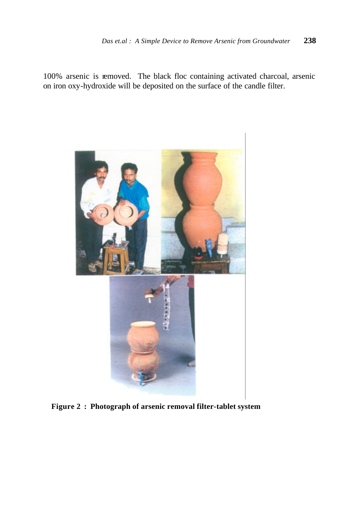100% arsenic is removed. The black floc containing activated charcoal, arsenic on iron oxy-hydroxide will be deposited on the surface of the candle filter.



**Figure 2 : Photograph of arsenic removal filter-tablet system**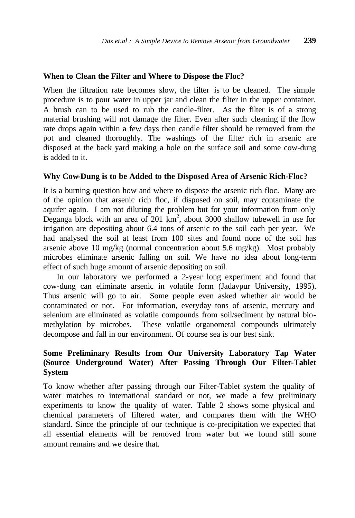#### **When to Clean the Filter and Where to Dispose the Floc?**

When the filtration rate becomes slow, the filter is to be cleaned. The simple procedure is to pour water in upper jar and clean the filter in the upper container. A brush can to be used to rub the candle-filter. As the filter is of a strong material brushing will not damage the filter. Even after such cleaning if the flow rate drops again within a few days then candle filter should be removed from the pot and cleaned thoroughly. The washings of the filter rich in arsenic are disposed at the back yard making a hole on the surface soil and some cow-dung is added to it.

#### **Why Cow-Dung is to be Added to the Disposed Area of Arsenic Rich-Floc?**

It is a burning question how and where to dispose the arsenic rich floc. Many are of the opinion that arsenic rich floc, if disposed on soil, may contaminate the aquifer again. I am not diluting the problem but for your information from only Deganga block with an area of  $201 \text{ km}^2$ , about 3000 shallow tubewell in use for irrigation are depositing about 6.4 tons of arsenic to the soil each per year. We had analysed the soil at least from 100 sites and found none of the soil has arsenic above 10 mg/kg (normal concentration about 5.6 mg/kg). Most probably microbes eliminate arsenic falling on soil. We have no idea about long-term effect of such huge amount of arsenic depositing on soil.

In our laboratory we performed a 2-year long experiment and found that cow-dung can eliminate arsenic in volatile form (Jadavpur University, 1995). Thus arsenic will go to air. Some people even asked whether air would be contaminated or not. For information, everyday tons of arsenic, mercury and selenium are eliminated as volatile compounds from soil/sediment by natural biomethylation by microbes. These volatile organometal compounds ultimately decompose and fall in our environment. Of course sea is our best sink.

# **Some Preliminary Results from Our University Laboratory Tap Water (Source Underground Water) After Passing Through Our Filter-Tablet System**

To know whether after passing through our Filter-Tablet system the quality of water matches to international standard or not, we made a few preliminary experiments to know the quality of water. Table 2 shows some physical and chemical parameters of filtered water, and compares them with the WHO standard. Since the principle of our technique is co-precipitation we expected that all essential elements will be removed from water but we found still some amount remains and we desire that.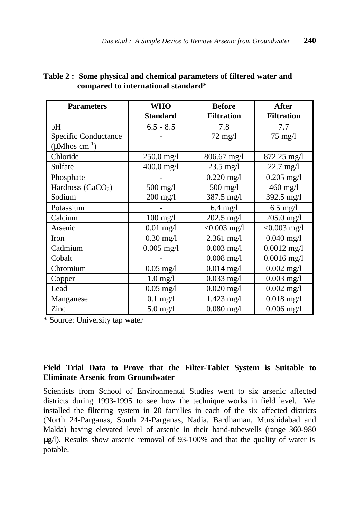| <b>Parameters</b>               | <b>WHO</b>      | <b>Before</b>        | <b>After</b>         |  |
|---------------------------------|-----------------|----------------------|----------------------|--|
|                                 | <b>Standard</b> | <b>Filtration</b>    | <b>Filtration</b>    |  |
| pH                              | $6.5 - 8.5$     | 7.8                  | 7.7                  |  |
| Specific Conductance            |                 | $72 \text{ mg}/l$    | $75 \text{ mg}/l$    |  |
| $(\mu M$ hos cm <sup>-1</sup> ) |                 |                      |                      |  |
| Chloride                        | $250.0$ mg/l    | 806.67 mg/l          | $872.25$ mg/l        |  |
| Sulfate                         | 400.0 mg/l      | $23.5 \text{ mg}/1$  | $22.7 \text{ mg}/1$  |  |
| Phosphate                       |                 | $0.220$ mg/l         | $0.205$ mg/l         |  |
| Hardness $(CaCO3)$              | 500 mg/l        | 500 mg/l             | 460 mg/l             |  |
| Sodium                          | $200$ mg/l      | $387.5 \text{ mg}/1$ | $392.5 \text{ mg/l}$ |  |
| Potassium                       |                 | $6.4$ mg/l           | $6.5$ mg/l           |  |
| Calcium                         | $100$ mg/l      | $202.5$ mg/l         | $205.0$ mg/l         |  |
| Arsenic                         | $0.01$ mg/l     | $< 0.003$ mg/l       | $< 0.003$ mg/l       |  |
| Iron                            | $0.30$ mg/l     | $2.361$ mg/l         | $0.040$ mg/l         |  |
| Cadmium                         | $0.005$ mg/l    | $0.003$ mg/l         | $0.0012$ mg/l        |  |
| Cobalt                          |                 | $0.008$ mg/l         | $0.0016$ mg/l        |  |
| Chromium                        | $0.05$ mg/l     | $0.014$ mg/l         | $0.002$ mg/l         |  |
| Copper                          | $1.0$ mg/l      | $0.033$ mg/l         | $0.003$ mg/l         |  |
| Lead                            | $0.05$ mg/l     | $0.020$ mg/l         | $0.002$ mg/l         |  |
| Manganese                       | $0.1$ mg/l      | 1.423 mg/l           | $0.018$ mg/l         |  |
| Zinc                            | $5.0$ mg/l      | $0.080$ mg/l         | $0.006$ mg/l         |  |

# **Table 2 : Some physical and chemical parameters of filtered water and compared to international standard\***

\* Source: University tap water

# **Field Trial Data to Prove that the Filter-Tablet System is Suitable to Eliminate Arsenic from Groundwater**

Scientists from School of Environmental Studies went to six arsenic affected districts during 1993-1995 to see how the technique works in field level. We installed the filtering system in 20 families in each of the six affected districts (North 24-Parganas, South 24-Parganas, Nadia, Bardhaman, Murshidabad and Malda) having elevated level of arsenic in their hand-tubewells (range 360-980 μg/l). Results show arsenic removal of 93-100% and that the quality of water is potable.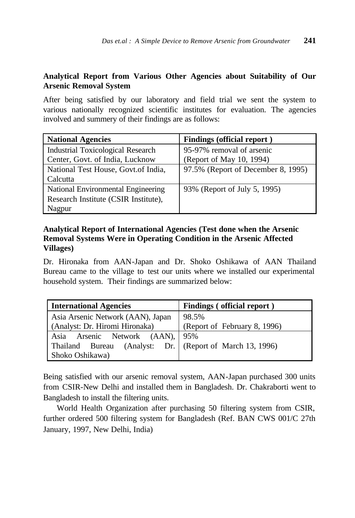# **Analytical Report from Various Other Agencies about Suitability of Our Arsenic Removal System**

After being satisfied by our laboratory and field trial we sent the system to various nationally recognized scientific institutes for evaluation. The agencies involved and summery of their findings are as follows:

| <b>National Agencies</b>                 | <b>Findings (official report)</b>  |
|------------------------------------------|------------------------------------|
| <b>Industrial Toxicological Research</b> | 95-97% removal of arsenic          |
| Center, Govt. of India, Lucknow          | (Report of May 10, 1994)           |
| National Test House, Govt.of India,      | 97.5% (Report of December 8, 1995) |
| Calcutta                                 |                                    |
| National Environmental Engineering       | 93% (Report of July 5, 1995)       |
| Research Institute (CSIR Institute),     |                                    |
| Nagpur                                   |                                    |

# **Analytical Report of International Agencies (Test done when the Arsenic Removal Systems Were in Operating Condition in the Arsenic Affected Villages)**

Dr. Hironaka from AAN-Japan and Dr. Shoko Oshikawa of AAN Thailand Bureau came to the village to test our units where we installed our experimental household system. Their findings are summarized below:

| <b>International Agencies</b>     | Findings (official report)   |  |  |
|-----------------------------------|------------------------------|--|--|
| Asia Arsenic Network (AAN), Japan | 98.5%                        |  |  |
| (Analyst: Dr. Hiromi Hironaka)    | (Report of February 8, 1996) |  |  |
| Asia Arsenic Network (AAN), 95%   |                              |  |  |
| Thailand Bureau<br>(Analyst: Dr.  | (Report of March 13, 1996)   |  |  |
| Shoko Oshikawa)                   |                              |  |  |

Being satisfied with our arsenic removal system, AAN-Japan purchased 300 units from CSIR-New Delhi and installed them in Bangladesh. Dr. Chakraborti went to Bangladesh to install the filtering units.

World Health Organization after purchasing 50 filtering system from CSIR, further ordered 500 filtering system for Bangladesh (Ref. BAN CWS 001/C 27th January, 1997, New Delhi, India)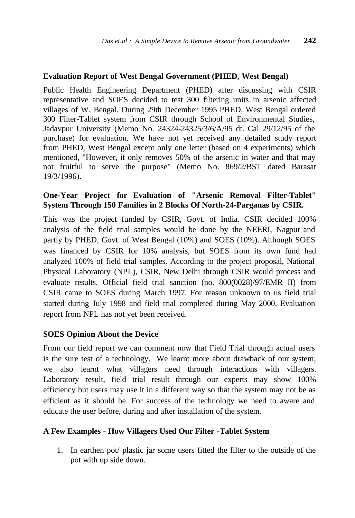#### **Evaluation Report of West Bengal Government (PHED, West Bengal)**

Public Health Engineering Department (PHED) after discussing with CSIR representative and SOES decided to test 300 filtering units in arsenic affected villages of W. Bengal. During 29th December 1995 PHED, West Bengal ordered 300 Filter-Tablet system from CSIR through School of Environmental Studies, Jadavpur University (Memo No. 24324-24325/3/6/A/95 dt. Cal 29/12/95 of the purchase) for evaluation. We have not yet received any detailed study report from PHED, West Bengal except only one letter (based on 4 experiments) which mentioned, "However, it only removes 50% of the arsenic in water and that may not fruitful to serve the purpose" (Memo No. 869/2/BST dated Barasat 19/3/1996).

# **One-Year Project for Evaluation of "Arsenic Removal Filter-Tablet" System Through 150 Families in 2 Blocks Of North-24-Parganas by CSIR.**

This was the project funded by CSIR, Govt. of India. CSIR decided 100% analysis of the field trial samples would be done by the NEERI, Nagpur and partly by PHED, Govt. of West Bengal (10%) and SOES (10%). Although SOES was financed by CSIR for 10% analysis, but SOES from its own fund had analyzed 100% of field trial samples. According to the project proposal, National Physical Laboratory (NPL), CSIR, New Delhi through CSIR would process and evaluate results. Official field trial sanction (no. 800(0028)/97/EMR II) from CSIR came to SOES during March 1997. For reason unknown to us field trial started during July 1998 and field trial completed during May 2000. Evaluation report from NPL has not yet been received.

# **SOES Opinion About the Device**

From our field report we can comment now that Field Trial through actual users is the sure test of a technology. We learnt more about drawback of our system; we also learnt what villagers need through interactions with villagers. Laboratory result, field trial result through our experts may show 100% efficiency but users may use it in a different way so that the system may not be as efficient as it should be. For success of the technology we need to aware and educate the user before, during and after installation of the system.

# **A Few Examples - How Villagers Used Our Filter -Tablet System**

1. In earthen pot/ plastic jar some users fitted the filter to the outside of the pot with up side down.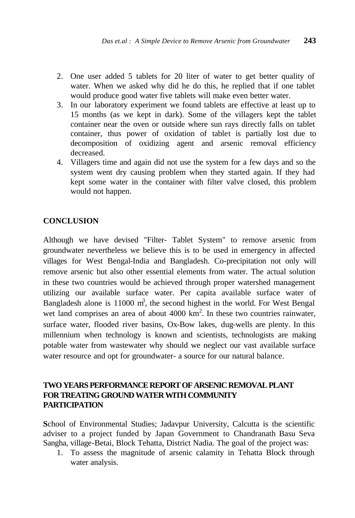- 2. One user added 5 tablets for 20 liter of water to get better quality of water. When we asked why did he do this, he replied that if one tablet would produce good water five tablets will make even better water.
- 3. In our laboratory experiment we found tablets are effective at least up to 15 months (as we kept in dark). Some of the villagers kept the tablet container near the oven or outside where sun rays directly falls on tablet container, thus power of oxidation of tablet is partially lost due to decomposition of oxidizing agent and arsenic removal efficiency decreased.
- 4. Villagers time and again did not use the system for a few days and so the system went dry causing problem when they started again. If they had kept some water in the container with filter valve closed, this problem would not happen.

# **CONCLUSION**

Although we have devised "Filter- Tablet System" to remove arsenic from groundwater nevertheless we believe this is to be used in emergency in affected villages for West Bengal-India and Bangladesh. Co-precipitation not only will remove arsenic but also other essential elements from water. The actual solution in these two countries would be achieved through proper watershed management utilizing our available surface water. Per capita available surface water of Bangladesh alone is 11000  $m<sup>3</sup>$ , the second highest in the world. For West Bengal wet land comprises an area of about  $4000 \text{ km}^2$ . In these two countries rainwater, surface water, flooded river basins, Ox-Bow lakes, dug-wells are plenty. In this millennium when technology is known and scientists, technologists are making potable water from wastewater why should we neglect our vast available surface water resource and opt for groundwater- a source for our natural balance.

# **TWO YEARS PERFORMANCE REPORT OF ARSENIC REMOVAL PLANT FOR TREATING GROUND WATER WITH COMMUNITY PARTICIPATION**

**S**chool of Environmental Studies; Jadavpur University, Calcutta is the scientific adviser to a project funded by Japan Government to Chandranath Basu Seva Sangha, village-Betai, Block Tehatta, District Nadia. The goal of the project was:

1. To assess the magnitude of arsenic calamity in Tehatta Block through water analysis.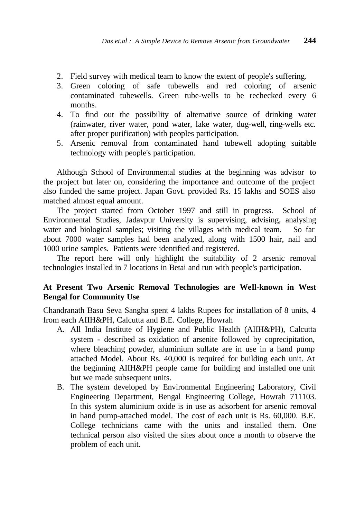- 2. Field survey with medical team to know the extent of people's suffering.
- 3. Green coloring of safe tubewells and red coloring of arsenic contaminated tubewells. Green tube-wells to be rechecked every 6 months.
- 4. To find out the possibility of alternative source of drinking water (rainwater, river water, pond water, lake water, dug-well, ring-wells etc. after proper purification) with peoples participation.
- 5. Arsenic removal from contaminated hand tubewell adopting suitable technology with people's participation.

Although School of Environmental studies at the beginning was advisor to the project but later on, considering the importance and outcome of the project also funded the same project. Japan Govt. provided Rs. 15 lakhs and SOES also matched almost equal amount.

The project started from October 1997 and still in progress. School of Environmental Studies, Jadavpur University is supervising, advising, analysing water and biological samples; visiting the villages with medical team. So far about 7000 water samples had been analyzed, along with 1500 hair, nail and 1000 urine samples. Patients were identified and registered.

The report here will only highlight the suitability of 2 arsenic removal technologies installed in 7 locations in Betai and run with people's participation.

# **At Present Two Arsenic Removal Technologies are Well-known in West Bengal for Community Use**

Chandranath Basu Seva Sangha spent 4 lakhs Rupees for installation of 8 units, 4 from each AIIH&PH, Calcutta and B.E. College, Howrah

- A. All India Institute of Hygiene and Public Health (AIIH&PH), Calcutta system - described as oxidation of arsenite followed by coprecipitation, where bleaching powder, aluminium sulfate are in use in a hand pump attached Model. About Rs. 40,000 is required for building each unit. At the beginning AIIH&PH people came for building and installed one unit but we made subsequent units.
- B. The system developed by Environmental Engineering Laboratory, Civil Engineering Department, Bengal Engineering College, Howrah 711103. In this system aluminium oxide is in use as adsorbent for arsenic removal in hand pump-attached model. The cost of each unit is Rs. 60,000. B.E. College technicians came with the units and installed them. One technical person also visited the sites about once a month to observe the problem of each unit.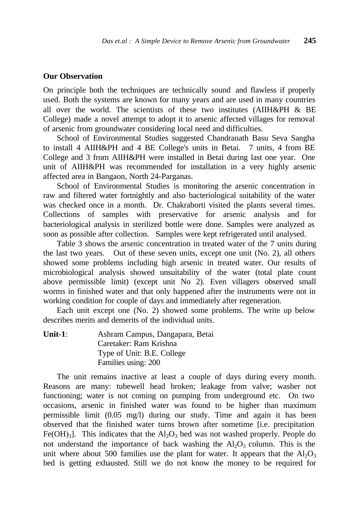#### **Our Observation**

On principle both the techniques are technically sound and flawless if properly used. Both the systems are known for many years and are used in many countries all over the world. The scientists of these two institutes (AIIH&PH & BE College) made a novel attempt to adopt it to arsenic affected villages for removal of arsenic from groundwater considering local need and difficulties.

School of Environmental Studies suggested Chandranath Basu Seva Sangha to install 4 AIIH&PH and 4 BE College's units in Betai. 7 units, 4 from BE College and 3 from AIIH&PH were installed in Betai during last one year. One unit of AIIH&PH was recommended for installation in a very highly arsenic affected area in Bangaon, North 24-Parganas.

School of Environmental Studies is monitoring the arsenic concentration in raw and filtered water fortnightly and also bacteriological suitability of the water was checked once in a month. Dr. Chakraborti visited the plants several times. Collections of samples with preservative for arsenic analysis and for bacteriological analysis in sterilized bottle were done. Samples were analyzed as soon as possible after collection. Samples were kept refrigerated until analysed.

Table 3 shows the arsenic concentration in treated water of the 7 units during the last two years. Out of these seven units, except one unit (No. 2), all others showed some problems including high arsenic in treated water. Our results of microbiological analysis showed unsuitability of the water (total plate count above permissible limit) (except unit No 2). Even villagers observed small worms in finished water and that only happened after the instruments were not in working condition for couple of days and immediately after regeneration.

Each unit except one (No. 2) showed some problems. The write up below describes merits and demerits of the individual units.

**Unit-1**: Ashram Campus, Dangapara, Betai Caretaker: Ram Krishna Type of Unit: B.E. College Families using: 200

The unit remains inactive at least a couple of days during every month. Reasons are many: tubewell head broken; leakage from valve; washer not functioning; water is not coming on pumping from underground etc. On two occasions, arsenic in finished water was found to be higher than maximum permissible limit (0.05 mg/l) during our study. Time and again it has been observed that the finished water turns brown after sometime [i.e. precipitation Fe(OH)<sub>3</sub>]. This indicates that the  $Al_2O_3$  bed was not washed properly. People do not understand the importance of back washing the  $Al_2O_3$  column. This is the unit where about 500 families use the plant for water. It appears that the  $A_1O_3$ bed is getting exhausted. Still we do not know the money to be required for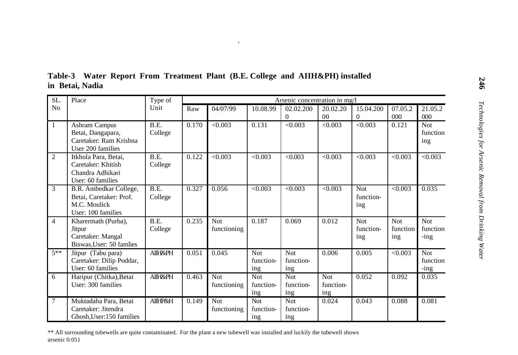| SL.            | Place                                                                                    | Type of            | Arsenic concentration in mg/l |                           |                                |                                |                                |                                |                               |                                   |
|----------------|------------------------------------------------------------------------------------------|--------------------|-------------------------------|---------------------------|--------------------------------|--------------------------------|--------------------------------|--------------------------------|-------------------------------|-----------------------------------|
| N <sub>0</sub> |                                                                                          | Unit               | Raw                           | 04/07/99                  | 10.08.99                       | 02.02.200                      | 20.02.20                       | 15.04.200                      | 07.05.2                       | 21.05.2                           |
|                |                                                                                          |                    |                               |                           |                                | $\overline{0}$                 | 0 <sub>0</sub>                 | $\theta$                       | 000                           | 000                               |
| 1              | <b>Ashram Campus</b><br>Betai, Dangapara,<br>Caretaker: Ram Krishna<br>User 200 families | B.E.<br>College    | 0.170                         | < 0.003                   | 0.131                          | < 0.003                        | < 0.003                        | < 0.003                        | 0.121                         | <b>Not</b><br>function<br>ing     |
| $\overline{2}$ | Itkhola Para, Betai.<br>Caretaker: Khitish<br>Chandra Adhikari<br>User: 60 families      | B.E.<br>College    | 0.122                         | < 0.003                   | < 0.003                        | < 0.003                        | < 0.003                        | < 0.003                        | < 0.003                       | < 0.003                           |
| 3              | B.R. Ambedkar College,<br>Betai, Caretaker: Prof.<br>M.C. Moulick<br>User: 100 families  | B.E.<br>College    | 0.327                         | 0.056                     | < 0.003                        | < 0.003                        | < 0.003                        | <b>Not</b><br>function-<br>ing | < 0.003                       | 0.035                             |
| $\overline{4}$ | Kharermath (Purba),<br>Jitpur<br>Caretaker: Mangal<br>Biswas, User: 50 famlies           | B.E.<br>College    | 0.235                         | <b>Not</b><br>functioning | 0.187                          | 0.069                          | 0.012                          | <b>Not</b><br>function-<br>ing | <b>Not</b><br>function<br>ing | <b>Not</b><br>function<br>$-$ ing |
| $5**$          | Jitpur (Tabu para)<br>Caretaker: Dilip Poddar,<br>User: 60 families                      | <b>AIIH&amp;PH</b> | 0.051                         | 0.045                     | <b>Not</b><br>function-<br>ing | <b>Not</b><br>function-<br>ing | 0.006                          | 0.005                          | < 0.003                       | Not<br>function<br>$-$ ing        |
| 6              | Haripur (Chitka), Betai<br>User: 300 families                                            | AIIH&PH            | 0.463                         | <b>Not</b><br>functioning | <b>Not</b><br>function-<br>ing | <b>Not</b><br>function-<br>ing | <b>Not</b><br>function-<br>ing | 0.052                          | 0.092                         | 0.035                             |
| $\overline{7}$ | Muktadaha Para, Betai<br>Caretaker: Jitendra<br>Ghosh. User: 150 families                | AIIHP&H            | 0.149                         | <b>Not</b><br>functioning | Not<br>function-<br>ing        | <b>Not</b><br>function-<br>ing | 0.024                          | 0.043                          | 0.088                         | 0.081                             |

**Table-3 Water Report From Treatment Plant (B.E. College and AIIH&PH) installed in Betai, Nadia**

\*\* All surrounding tubewells are quite contaminated. For the plant a new tubewell was installed and luckily the tubewell shows arsenic 0.051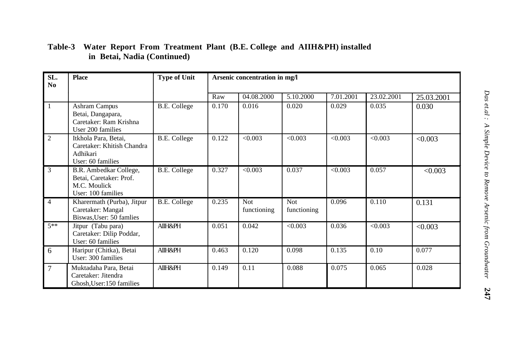| SL.<br>N <sub>0</sub> | <b>Place</b>                                                                            | <b>Type of Unit</b> | Arsenic concentration in mg/l |                           |                           |           |            |            |  |
|-----------------------|-----------------------------------------------------------------------------------------|---------------------|-------------------------------|---------------------------|---------------------------|-----------|------------|------------|--|
|                       |                                                                                         |                     | Raw                           | 04.08.2000                | 5.10.2000                 | 7.01.2001 | 23.02.2001 | 25.03.2001 |  |
| $\mathbf{1}$          | Ashram Campus<br>Betai, Dangapara,<br>Caretaker: Ram Krishna<br>User 200 families       | <b>B.E.</b> College | 0.170                         | 0.016                     | 0.020                     | 0.029     | 0.035      | 0.030      |  |
| $\overline{2}$        | Itkhola Para, Betai,<br>Caretaker: Khitish Chandra<br>Adhikari<br>User: 60 families     | <b>B.E. College</b> | 0.122                         | < 0.003                   | < 0.003                   | < 0.003   | < 0.003    | < 0.003    |  |
| 3                     | B.R. Ambedkar College,<br>Betai, Caretaker: Prof.<br>M.C. Moulick<br>User: 100 families | <b>B.E.</b> College | 0.327                         | < 0.003                   | 0.037                     | < 0.003   | 0.057      | < 0.003    |  |
| $\overline{4}$        | Kharermath (Purba), Jitpur<br>Caretaker: Mangal<br>Biswas, User: 50 famlies             | <b>B.E.</b> College | 0.235                         | <b>Not</b><br>functioning | <b>Not</b><br>functioning | 0.096     | 0.110      | 0.131      |  |
| $5**$                 | Jitpur (Tabu para)<br>Caretaker: Dilip Poddar,<br>User: 60 families                     | <b>AIIH&amp;PH</b>  | 0.051                         | 0.042                     | < 0.003                   | 0.036     | < 0.003    | < 0.003    |  |
| 6                     | Haripur (Chitka), Betai<br>User: 300 families                                           | <b>AIIH&amp;PH</b>  | 0.463                         | 0.120                     | 0.098                     | 0.135     | 0.10       | 0.077      |  |
| $\overline{7}$        | Muktadaha Para, Betai<br>Caretaker: Jitendra<br>Ghosh, User: 150 families               | <b>AIIH&amp;PH</b>  | 0.149                         | 0.11                      | 0.088                     | 0.075     | 0.065      | 0.028      |  |

#### *Das et.al : A Simple Device to Remove Arsenic from Groundwater* **247 Table-3 Water Report From Treatment Plant (B.E. College and AIIH&PH) installed in Betai, Nadia (Continued)**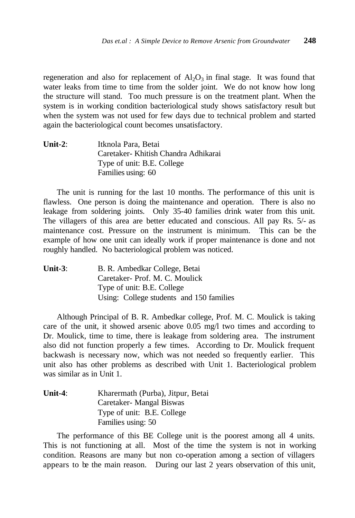regeneration and also for replacement of  $A<sub>1</sub>O<sub>3</sub>$  in final stage. It was found that water leaks from time to time from the solder joint. We do not know how long the structure will stand. Too much pressure is on the treatment plant. When the system is in working condition bacteriological study shows satisfactory result but when the system was not used for few days due to technical problem and started again the bacteriological count becomes unsatisfactory.

**Unit-2**: Itknola Para, Betai Caretaker- Khitish Chandra Adhikarai Type of unit: B.E. College Families using: 60

The unit is running for the last 10 months. The performance of this unit is flawless. One person is doing the maintenance and operation. There is also no leakage from soldering joints. Only 35-40 families drink water from this unit. The villagers of this area are better educated and conscious. All pay Rs. 5/- as maintenance cost. Pressure on the instrument is minimum. This can be the example of how one unit can ideally work if proper maintenance is done and not roughly handled. No bacteriological problem was noticed.

| Unit- $3:$ | B. R. Ambedkar College, Betai            |
|------------|------------------------------------------|
|            | Caretaker-Prof. M. C. Moulick            |
|            | Type of unit: B.E. College               |
|            | Using: College students and 150 families |

Although Principal of B. R. Ambedkar college, Prof. M. C. Moulick is taking care of the unit, it showed arsenic above 0.05 mg/l two times and according to Dr. Moulick, time to time, there is leakage from soldering area. The instrument also did not function properly a few times. According to Dr. Moulick frequent backwash is necessary now, which was not needed so frequently earlier. This unit also has other problems as described with Unit 1. Bacteriological problem was similar as in Unit 1.

| Unit-4: | Kharermath (Purba), Jitpur, Betai |
|---------|-----------------------------------|
|         | Caretaker- Mangal Biswas          |
|         | Type of unit: B.E. College        |
|         | Families using: 50                |

The performance of this BE College unit is the poorest among all 4 units. This is not functioning at all. Most of the time the system is not in working condition. Reasons are many but non co-operation among a section of villagers appears to be the main reason. During our last 2 years observation of this unit,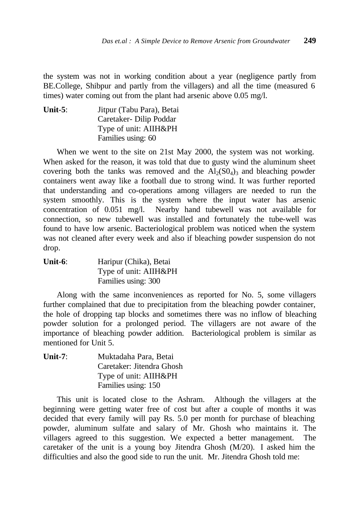the system was not in working condition about a year (negligence partly from BE.College, Shibpur and partly from the villagers) and all the time (measured 6 times) water coming out from the plant had arsenic above 0.05 mg/l.

**Unit-5**: Jitpur (Tabu Para), Betai Caretaker- Dilip Poddar Type of unit: AIIH&PH Families using: 60

When we went to the site on 21st May 2000, the system was not working. When asked for the reason, it was told that due to gusty wind the aluminum sheet covering both the tanks was removed and the  $Al_2(S_0A)$  and bleaching powder containers went away like a football due to strong wind. It was further reported that understanding and co-operations among villagers are needed to run the system smoothly. This is the system where the input water has arsenic concentration of 0.051 mg/l. Nearby hand tubewell was not available for connection, so new tubewell was installed and fortunately the tube-well was found to have low arsenic. Bacteriological problem was noticed when the system was not cleaned after every week and also if bleaching powder suspension do not drop.

**Unit-6**: Haripur (Chika), Betai Type of unit: AIIH&PH Families using: 300

Along with the same inconveniences as reported for No. 5, some villagers further complained that due to precipitation from the bleaching powder container, the hole of dropping tap blocks and sometimes there was no inflow of bleaching powder solution for a prolonged period. The villagers are not aware of the importance of bleaching powder addition. Bacteriological problem is similar as mentioned for Unit 5.

| Unit-7: | Muktadaha Para, Betai     |
|---------|---------------------------|
|         | Caretaker: Jitendra Ghosh |
|         | Type of unit: AIIH&PH     |
|         | Families using: 150       |

This unit is located close to the Ashram. Although the villagers at the beginning were getting water free of cost but after a couple of months it was decided that every family will pay Rs. 5.0 per month for purchase of bleaching powder, aluminum sulfate and salary of Mr. Ghosh who maintains it. The villagers agreed to this suggestion. We expected a better management. The caretaker of the unit is a young boy Jitendra Ghosh (M/20). I asked him the difficulties and also the good side to run the unit. Mr. Jitendra Ghosh told me: